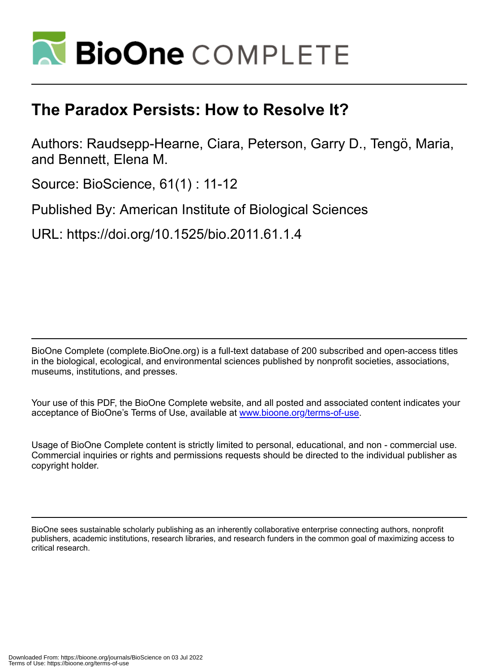

## **The Paradox Persists: How to Resolve It?**

Authors: Raudsepp-Hearne, Ciara, Peterson, Garry D., Tengö, Maria, and Bennett, Elena M.

Source: BioScience, 61(1) : 11-12

Published By: American Institute of Biological Sciences

URL: https://doi.org/10.1525/bio.2011.61.1.4

BioOne Complete (complete.BioOne.org) is a full-text database of 200 subscribed and open-access titles in the biological, ecological, and environmental sciences published by nonprofit societies, associations, museums, institutions, and presses.

Your use of this PDF, the BioOne Complete website, and all posted and associated content indicates your acceptance of BioOne's Terms of Use, available at www.bioone.org/terms-of-use.

Usage of BioOne Complete content is strictly limited to personal, educational, and non - commercial use. Commercial inquiries or rights and permissions requests should be directed to the individual publisher as copyright holder.

BioOne sees sustainable scholarly publishing as an inherently collaborative enterprise connecting authors, nonprofit publishers, academic institutions, research libraries, and research funders in the common goal of maximizing access to critical research.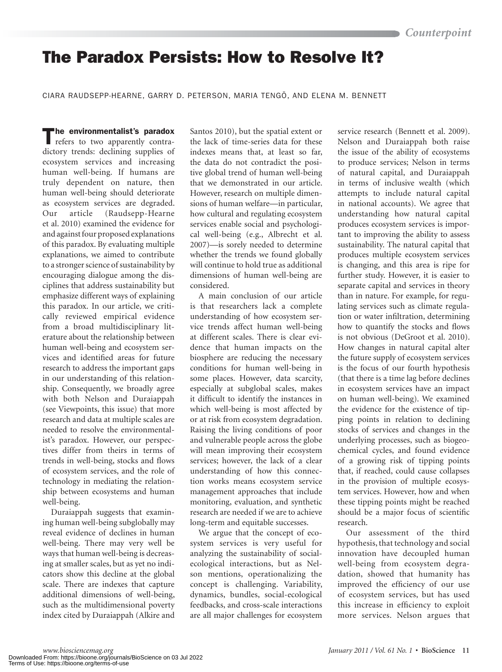## **The Paradox Persists: How to Resolve It?**

CIARA RAUDSEPP-HEARNE, GARRY D. PETERSON, MARIA TENGÖ, AND ELENA M. BENNETT

The environmentalist's paradox<br>refers to two apparently contradictory trends: declining supplies of ecosystem services and increasing human well-being. If humans are truly dependent on nature, then human well-being should deteriorate as ecosystem services are degraded. Our article (Raudsepp-Hearne et al. 2010) examined the evidence for and against four proposed explanations of this paradox. By evaluating multiple explanations, we aimed to contribute to a stronger science of sustainability by encouraging dialogue among the disciplines that address sustainability but emphasize different ways of explaining this paradox. In our article, we critically reviewed empirical evidence from a broad multidisciplinary literature about the relationship between human well-being and ecosystem services and identified areas for future research to address the important gaps in our understanding of this relationship. Consequently, we broadly agree with both Nelson and Duraiappah (see Viewpoints, this issue) that more research and data at multiple scales are needed to resolve the environmentalist's paradox. However, our perspectives differ from theirs in terms of trends in well-being, stocks and flows of ecosystem services, and the role of technology in mediating the relationship between ecosystems and human well-being.

Duraiappah suggests that examining human well-being subglobally may reveal evidence of declines in human well-being. There may very well be ways that human well-being is decreasing at smaller scales, but as yet no indicators show this decline at the global scale. There are indexes that capture additional dimensions of well-being, such as the multidimensional poverty index cited by Duraiappah (Alkire and

Santos 2010), but the spatial extent or the lack of time-series data for these indexes means that, at least so far, the data do not contradict the positive global trend of human well-being that we demonstrated in our article. However, research on multiple dimensions of human welfare—in particular, how cultural and regulating ecosystem services enable social and psychological well-being (e.g., Albrecht et al. 2007)—is sorely needed to determine whether the trends we found globally will continue to hold true as additional dimensions of human well-being are considered.

A main conclusion of our article is that researchers lack a complete understanding of how ecosystem service trends affect human well-being at different scales. There is clear evidence that human impacts on the biosphere are reducing the necessary conditions for human well-being in some places. However, data scarcity, especially at subglobal scales, makes it difficult to identify the instances in which well-being is most affected by or at risk from ecosystem degradation. Raising the living conditions of poor and vulnerable people across the globe will mean improving their ecosystem services; however, the lack of a clear understanding of how this connection works means ecosystem service management approaches that include monitoring, evaluation, and synthetic research are needed if we are to achieve long-term and equitable successes.

We argue that the concept of ecosystem services is very useful for analyzing the sustainability of socialecological interactions, but as Nelson mentions, operationalizing the concept is challenging. Variability, dynamics, bundles, social-ecological feedbacks, and cross-scale interactions are all major challenges for ecosystem

service research (Bennett et al. 2009). Nelson and Duraiappah both raise the issue of the ability of ecosystems to produce services; Nelson in terms of natural capital, and Duraiappah in terms of inclusive wealth (which attempts to include natural capital in national accounts). We agree that understanding how natural capital produces ecosystem services is important to improving the ability to assess sustainability. The natural capital that produces multiple ecosystem services is changing, and this area is ripe for further study. However, it is easier to separate capital and services in theory than in nature. For example, for regulating services such as climate regulation or water infiltration, determining how to quantify the stocks and flows is not obvious (DeGroot et al. 2010). How changes in natural capital alter the future supply of ecosystem services is the focus of our fourth hypothesis (that there is a time lag before declines in ecosystem services have an impact on human well-being). We examined the evidence for the existence of tipping points in relation to declining stocks of services and changes in the underlying processes, such as biogeochemical cycles, and found evidence of a growing risk of tipping points that, if reached, could cause collapses in the provision of multiple ecosystem services. However, how and when these tipping points might be reached should be a major focus of scientific research.

Our assessment of the third hypothesis, that technology and social innovation have decoupled human well-being from ecosystem degradation, showed that humanity has improved the efficiency of our use of ecosystem services, but has used this increase in efficiency to exploit more services. Nelson argues that